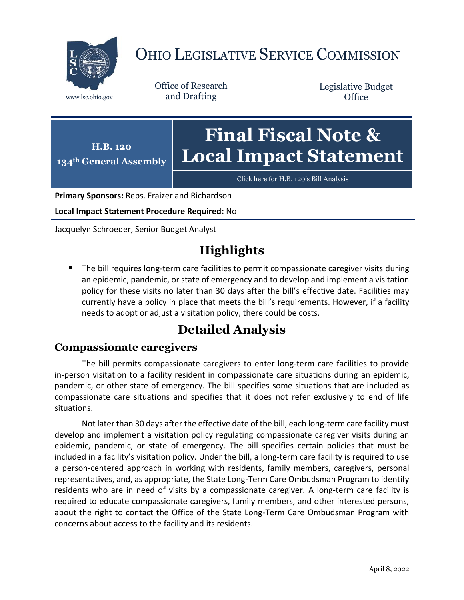

# OHIO LEGISLATIVE SERVICE COMMISSION

Office of Research www.lsc.ohio.gov and Drafting

Legislative Budget **Office** 

**H.B. 120 134th General Assembly Final Fiscal Note & Local Impact Statement**

[Click here for H.B. 120](https://www.legislature.ohio.gov/legislation/legislation-documents?id=GA134-HB-120)'s Bill Analysis

**Primary Sponsors:** Reps. Fraizer and Richardson

**Local Impact Statement Procedure Required:** No

Jacquelyn Schroeder, Senior Budget Analyst

## **Highlights**

 The bill requires long-term care facilities to permit compassionate caregiver visits during an epidemic, pandemic, or state of emergency and to develop and implement a visitation policy for these visits no later than 30 days after the bill's effective date. Facilities may currently have a policy in place that meets the bill's requirements. However, if a facility needs to adopt or adjust a visitation policy, there could be costs.

### **Detailed Analysis**

#### **Compassionate caregivers**

The bill permits compassionate caregivers to enter long-term care facilities to provide in-person visitation to a facility resident in compassionate care situations during an epidemic, pandemic, or other state of emergency. The bill specifies some situations that are included as compassionate care situations and specifies that it does not refer exclusively to end of life situations.

Not later than 30 days after the effective date of the bill, each long-term care facility must develop and implement a visitation policy regulating compassionate caregiver visits during an epidemic, pandemic, or state of emergency. The bill specifies certain policies that must be included in a facility's visitation policy. Under the bill, a long-term care facility is required to use a person-centered approach in working with residents, family members, caregivers, personal representatives, and, as appropriate, the State Long-Term Care Ombudsman Program to identify residents who are in need of visits by a compassionate caregiver. A long-term care facility is required to educate compassionate caregivers, family members, and other interested persons, about the right to contact the Office of the State Long-Term Care Ombudsman Program with concerns about access to the facility and its residents.